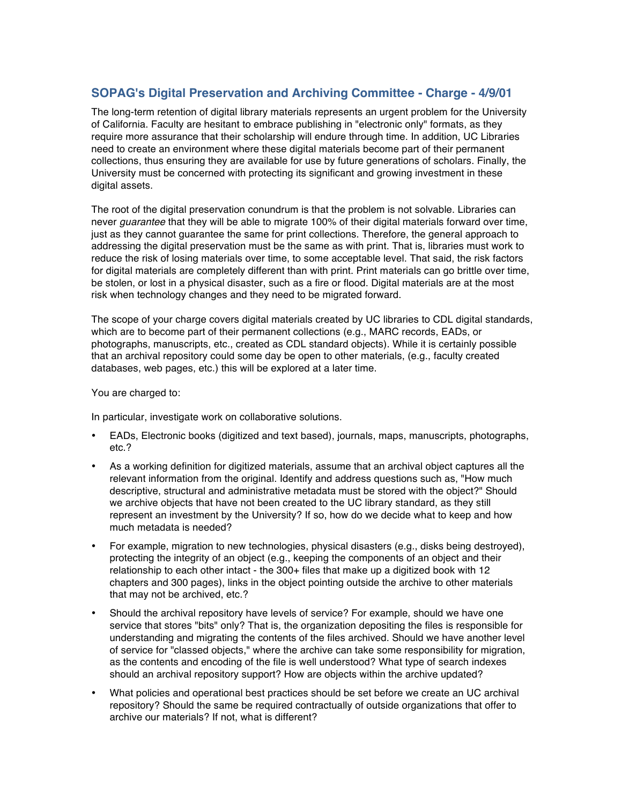## **SOPAG's Digital Preservation and Archiving Committee - Charge - 4/9/01**

The long-term retention of digital library materials represents an urgent problem for the University of California. Faculty are hesitant to embrace publishing in "electronic only" formats, as they require more assurance that their scholarship will endure through time. In addition, UC Libraries need to create an environment where these digital materials become part of their permanent collections, thus ensuring they are available for use by future generations of scholars. Finally, the University must be concerned with protecting its significant and growing investment in these digital assets.

The root of the digital preservation conundrum is that the problem is not solvable. Libraries can never *guarantee* that they will be able to migrate 100% of their digital materials forward over time, just as they cannot guarantee the same for print collections. Therefore, the general approach to addressing the digital preservation must be the same as with print. That is, libraries must work to reduce the risk of losing materials over time, to some acceptable level. That said, the risk factors for digital materials are completely different than with print. Print materials can go brittle over time, be stolen, or lost in a physical disaster, such as a fire or flood. Digital materials are at the most risk when technology changes and they need to be migrated forward.

The scope of your charge covers digital materials created by UC libraries to CDL digital standards, which are to become part of their permanent collections (e.g., MARC records, EADs, or photographs, manuscripts, etc., created as CDL standard objects). While it is certainly possible that an archival repository could some day be open to other materials, (e.g., faculty created databases, web pages, etc.) this will be explored at a later time.

You are charged to:

In particular, investigate work on collaborative solutions.

- EADs, Electronic books (digitized and text based), journals, maps, manuscripts, photographs, etc.?
- As a working definition for digitized materials, assume that an archival object captures all the relevant information from the original. Identify and address questions such as, "How much descriptive, structural and administrative metadata must be stored with the object?" Should we archive objects that have not been created to the UC library standard, as they still represent an investment by the University? If so, how do we decide what to keep and how much metadata is needed?
- For example, migration to new technologies, physical disasters (e.g., disks being destroyed), protecting the integrity of an object (e.g., keeping the components of an object and their relationship to each other intact - the 300+ files that make up a digitized book with 12 chapters and 300 pages), links in the object pointing outside the archive to other materials that may not be archived, etc.?
- Should the archival repository have levels of service? For example, should we have one service that stores "bits" only? That is, the organization depositing the files is responsible for understanding and migrating the contents of the files archived. Should we have another level of service for "classed objects," where the archive can take some responsibility for migration, as the contents and encoding of the file is well understood? What type of search indexes should an archival repository support? How are objects within the archive updated?
- What policies and operational best practices should be set before we create an UC archival repository? Should the same be required contractually of outside organizations that offer to archive our materials? If not, what is different?